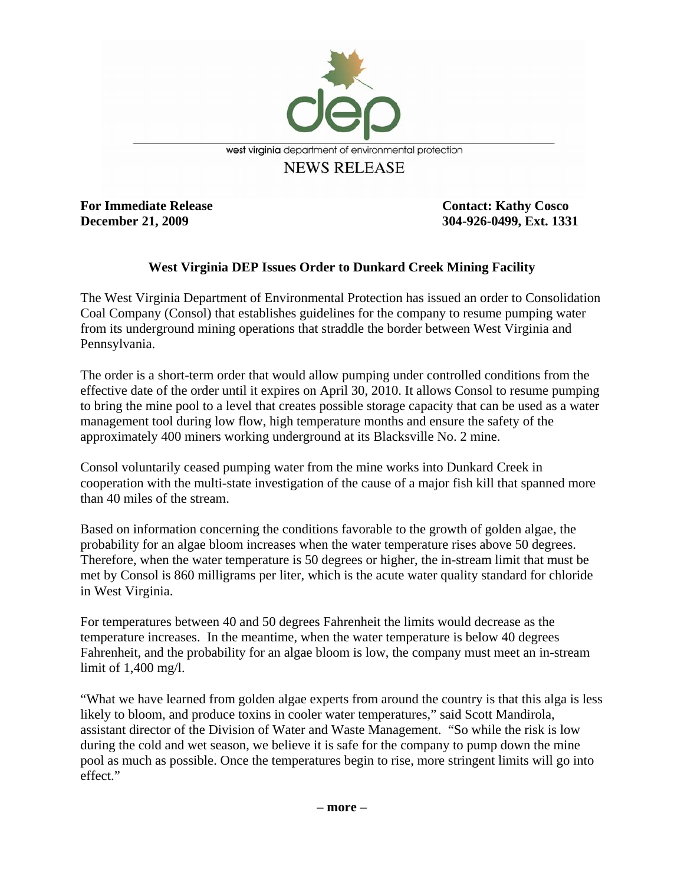

**For Immediate Release Contact: Kathy Cosco** 

**December 21, 2009 304-926-0499, Ext. 1331** 

## **West Virginia DEP Issues Order to Dunkard Creek Mining Facility**

The West Virginia Department of Environmental Protection has issued an order to Consolidation Coal Company (Consol) that establishes guidelines for the company to resume pumping water from its underground mining operations that straddle the border between West Virginia and Pennsylvania.

The order is a short-term order that would allow pumping under controlled conditions from the effective date of the order until it expires on April 30, 2010. It allows Consol to resume pumping to bring the mine pool to a level that creates possible storage capacity that can be used as a water management tool during low flow, high temperature months and ensure the safety of the approximately 400 miners working underground at its Blacksville No. 2 mine.

Consol voluntarily ceased pumping water from the mine works into Dunkard Creek in cooperation with the multi-state investigation of the cause of a major fish kill that spanned more than 40 miles of the stream.

Based on information concerning the conditions favorable to the growth of golden algae, the probability for an algae bloom increases when the water temperature rises above 50 degrees. Therefore, when the water temperature is 50 degrees or higher, the in-stream limit that must be met by Consol is 860 milligrams per liter, which is the acute water quality standard for chloride in West Virginia.

For temperatures between 40 and 50 degrees Fahrenheit the limits would decrease as the temperature increases. In the meantime, when the water temperature is below 40 degrees Fahrenheit, and the probability for an algae bloom is low, the company must meet an in-stream limit of 1,400 mg/l.

"What we have learned from golden algae experts from around the country is that this alga is less likely to bloom, and produce toxins in cooler water temperatures," said Scott Mandirola, assistant director of the Division of Water and Waste Management. "So while the risk is low during the cold and wet season, we believe it is safe for the company to pump down the mine pool as much as possible. Once the temperatures begin to rise, more stringent limits will go into effect."